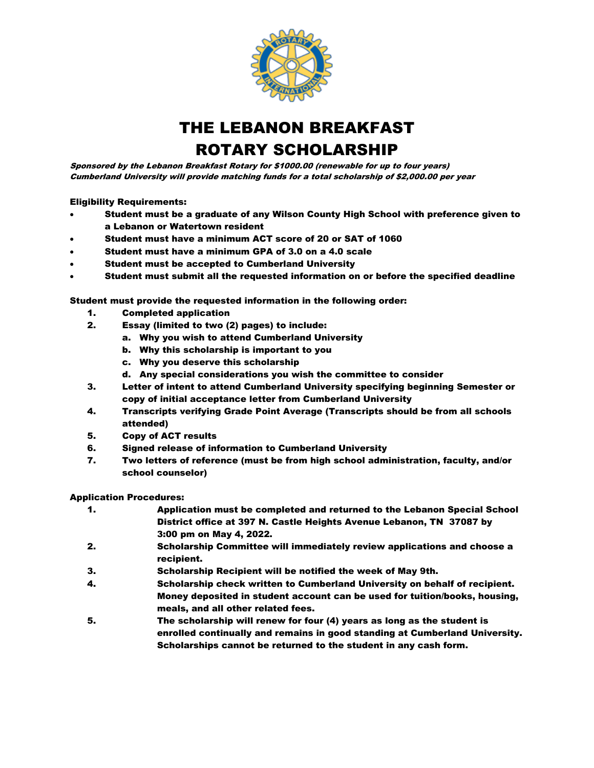

THE LEBANON BREAKFAST ROTARY SCHOLARSHIP

Sponsored by the Lebanon Breakfast Rotary for \$1000.00 (renewable for up to four years) Cumberland University will provide matching funds for a total scholarship of \$2,000.00 per year

Eligibility Requirements:

- Student must be a graduate of any Wilson County High School with preference given to a Lebanon or Watertown resident
- Student must have a minimum ACT score of 20 or SAT of 1060
- Student must have a minimum GPA of 3.0 on a 4.0 scale
- Student must be accepted to Cumberland University
- Student must submit all the requested information on or before the specified deadline

Student must provide the requested information in the following order:

- 1. Completed application
- 2. Essay (limited to two (2) pages) to include:
	- a. Why you wish to attend Cumberland University
	- b. Why this scholarship is important to you
	- c. Why you deserve this scholarship
	- d. Any special considerations you wish the committee to consider
- 3. Letter of intent to attend Cumberland University specifying beginning Semester or copy of initial acceptance letter from Cumberland University
- 4. Transcripts verifying Grade Point Average (Transcripts should be from all schools attended)
- 5. Copy of ACT results
- 6. Signed release of information to Cumberland University
- 7. Two letters of reference (must be from high school administration, faculty, and/or school counselor)

## Application Procedures:

- 1. Application must be completed and returned to the Lebanon Special School District office at 397 N. Castle Heights Avenue Lebanon, TN 37087 by 3:00 pm on May 4, 2022.
- 2. Scholarship Committee will immediately review applications and choose a recipient.
- 3. Scholarship Recipient will be notified the week of May 9th.
- 4. Scholarship check written to Cumberland University on behalf of recipient. Money deposited in student account can be used for tuition/books, housing, meals, and all other related fees.
- 5. The scholarship will renew for four (4) years as long as the student is enrolled continually and remains in good standing at Cumberland University. Scholarships cannot be returned to the student in any cash form.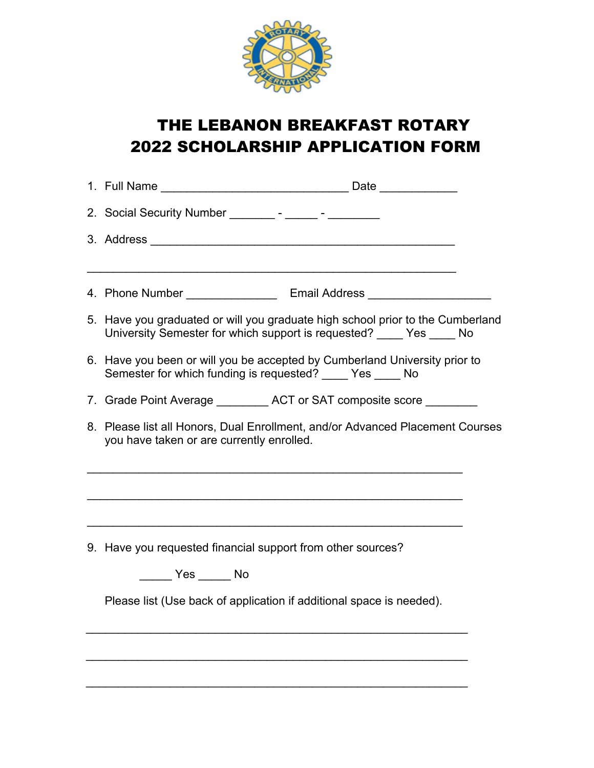

## THE LEBANON BREAKFAST ROTARY 2022 SCHOLARSHIP APPLICATION FORM

|  | 2. Social Security Number _________- - ______- - _________                                                                                               |  |  |
|--|----------------------------------------------------------------------------------------------------------------------------------------------------------|--|--|
|  |                                                                                                                                                          |  |  |
|  |                                                                                                                                                          |  |  |
|  | 5. Have you graduated or will you graduate high school prior to the Cumberland<br>University Semester for which support is requested? _____ Yes _____ No |  |  |
|  | 6. Have you been or will you be accepted by Cumberland University prior to<br>Semester for which funding is requested? ____ Yes ____ No                  |  |  |
|  | 7. Grade Point Average __________ ACT or SAT composite score ________                                                                                    |  |  |
|  | 8. Please list all Honors, Dual Enrollment, and/or Advanced Placement Courses<br>you have taken or are currently enrolled.                               |  |  |
|  | <u> 1989 - Jan James James James James James James James James James James James James James James James James J</u>                                     |  |  |
|  | 9. Have you requested financial support from other sources?                                                                                              |  |  |
|  | $\rule{1em}{0.15mm}$ Yes $\rule{1em}{0.15mm}$ No                                                                                                         |  |  |
|  | Please list (Use back of application if additional space is needed).                                                                                     |  |  |
|  |                                                                                                                                                          |  |  |
|  |                                                                                                                                                          |  |  |
|  |                                                                                                                                                          |  |  |